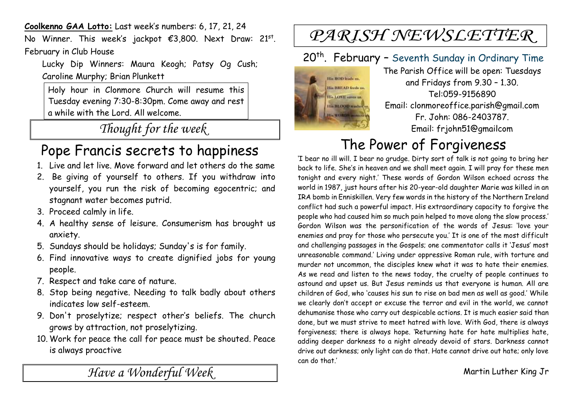**Coolkenno GAA Lotto:** Last week's numbers: 6, 17, 21, 24

No Winner. This week's jackpot €3,800. Next Draw: 21<sup>st</sup>. February in Club House

Lucky Dip Winners: Maura Keogh; Patsy Og Cush; Caroline Murphy; Brian Plunkett

Holy hour in Clonmore Church will resume this Tuesday evening 7:30-8:30pm. Come away and rest a while with the Lord. All welcome.

*Thought for the week*

### Pope Francis secrets to happiness

- 1. Live and let live. Move forward and let others do the same
- 2. Be giving of yourself to others. If you withdraw into yourself, you run the risk of becoming egocentric; and stagnant water becomes putrid.
- 3. Proceed calmly in life.
- 4. A healthy sense of leisure. Consumerism has brought us anxiety.
- 5. Sundays should be holidays; Sunday's is for family.
- 6. Find innovative ways to create dignified jobs for young people.
- 7. Respect and take care of nature.
- 8. Stop being negative. Needing to talk badly about others indicates low self-esteem.
- 9. Don't proselytize; respect other's beliefs. The church grows by attraction, not proselytizing.
- 10. Work for peace the call for peace must be shouted. Peace is always proactive

*Have a Wonderful Week* 

## PARISH NEWSLETTER

### 20<sup>th</sup>. February - Seventh Sunday in Ordinary Time



The Parish Office will be open: Tuesdays and Fridays from 9.30 – 1.30. Tel:059-9156890 Email: clonmoreoffice.parish@gmail.com Fr. John: 086-2403787. Email: frjohn51@gmailcom

# The Power of Forgiveness

'I bear no ill will. I bear no grudge. Dirty sort of talk is not going to bring her back to life. She's in heaven and we shall meet again. I will pray for these men tonight and every night.' These words of Gordon Wilson echoed across the world in 1987, just hours after his 20-year-old daughter Marie was killed in an IRA bomb in Enniskillen. Very few words in the history of the Northern Ireland conflict had such a powerful impact. His extraordinary capacity to forgive the people who had caused him so much pain helped to move along the slow process.' Gordon Wilson was the personification of the words of Jesus: 'love your enemies and pray for those who persecute you.' It is one of the most difficult and challenging passages in the Gospels; one commentator calls it 'Jesus' most unreasonable command.' Living under oppressive Roman rule, with torture and murder not uncommon, the disciples knew what it was to hate their enemies. As we read and listen to the news today, the cruelty of people continues to astound and upset us. But Jesus reminds us that everyone is human. All are children of God, who 'causes his sun to rise on bad men as well as good.' While we clearly don't accept or excuse the terror and evil in the world, we cannot dehumanise those who carry out despicable actions. It is much easier said than done, but we must strive to meet hatred with love. With God, there is always forgiveness; there is always hope. 'Returning hate for hate multiplies hate, adding deeper darkness to a night already devoid of stars. Darkness cannot drive out darkness; only light can do that. Hate cannot drive out hate; only love can do that.'

Martin Luther King Jr